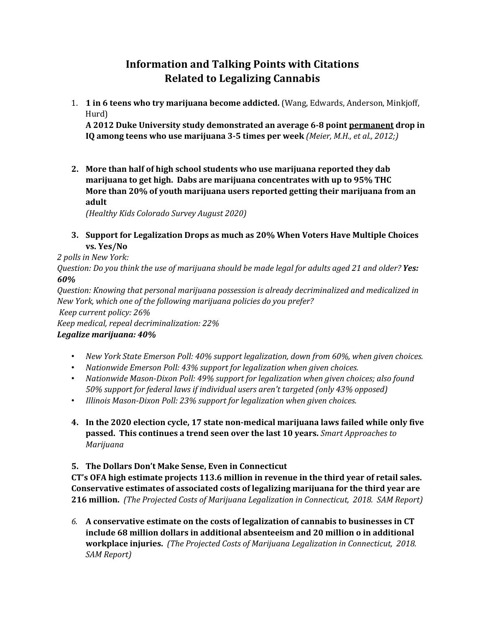## **Information and Talking Points with Citations Related to Legalizing Cannabis**

1. **1 in 6 teens who try marijuana become addicted.** (Wang, Edwards, Anderson, Minkjoff, Hurd)

A 2012 Duke University study demonstrated an average 6-8 point permanent drop in **IQ** among teens who use marijuana 3-5 times per week *(Meier, M.H., et al., 2012;)* 

**2.** More than half of high school students who use marijuana reported they dab **marijuana to get high. Dabs are marijuana concentrates with up to 95% THC** More than 20% of youth marijuana users reported getting their marijuana from an **adult**

*(Healthy Kids Colorado Survey August 2020)*

**3.** Support for Legalization Drops as much as 20% When Voters Have Multiple Choices **vs. Yes/No**

## *2 polls in New York:*

*Question:* Do you think the use of marijuana should be made legal for adults aged 21 and older? Yes: *60%*

*Question: Knowing that personal marijuana possession is already decriminalized and medicalized in New York, which one of the following marijuana policies do you prefer?* 

*Keep current policy: 26%*

*Keep medical, repeal decriminalization: 22% Legalize marijuana: 40%*

- New York State Emerson Poll: 40% support *legalization, down from 60%, when given choices.*
- Nationwide Emerson Poll: 43% support for legalization when given choices.
- Nationwide Mason-Dixon Poll: 49% support for legalization when given choices; also found *50%* support for federal laws if individual users aren't targeted (only 43% opposed)
- *Illinois Mason-Dixon Poll: 23% support for legalization when given choices.*
- **4.** In the 2020 election cycle, 17 state non-medical marijuana laws failed while only five **passed.** This continues a trend seen over the last 10 years. *Smart Approaches to Marijuana*

## **5.** The Dollars Don't Make Sense, Even in Connecticut

**CT's OFA high estimate projects 113.6 million in revenue in the third year of retail sales.** Conservative estimates of associated costs of legalizing marijuana for the third year are **216 million.** (The Projected Costs of Marijuana Legalization in Connecticut, 2018. SAM Report)

6. A conservative estimate on the costs of legalization of cannabis to businesses in CT include 68 million dollars in additional absenteeism and 20 million o in additional **workplace injuries.** (The Projected Costs of Marijuana Legalization in Connecticut, 2018. *SAM Report)*